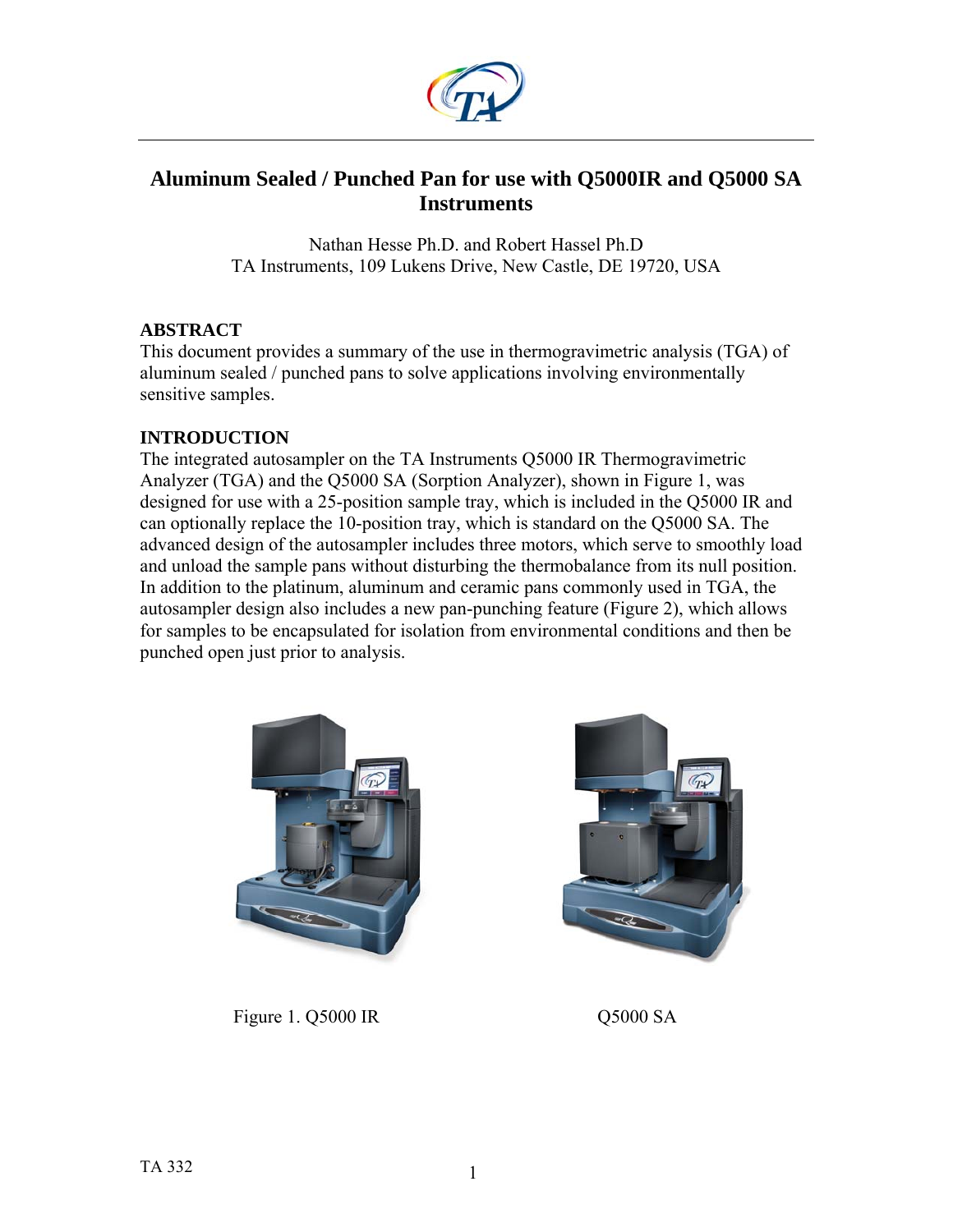

# **Aluminum Sealed / Punched Pan for use with Q5000IR and Q5000 SA Instruments**

Nathan Hesse Ph.D. and Robert Hassel Ph.D TA Instruments, 109 Lukens Drive, New Castle, DE 19720, USA

### **ABSTRACT**

This document provides a summary of the use in thermogravimetric analysis (TGA) of aluminum sealed / punched pans to solve applications involving environmentally sensitive samples.

### **INTRODUCTION**

The integrated autosampler on the TA Instruments Q5000 IR Thermogravimetric Analyzer (TGA) and the Q5000 SA (Sorption Analyzer), shown in Figure 1, was designed for use with a 25-position sample tray, which is included in the Q5000 IR and can optionally replace the 10-position tray, which is standard on the Q5000 SA. The advanced design of the autosampler includes three motors, which serve to smoothly load and unload the sample pans without disturbing the thermobalance from its null position. In addition to the platinum, aluminum and ceramic pans commonly used in TGA, the autosampler design also includes a new pan-punching feature (Figure 2), which allows for samples to be encapsulated for isolation from environmental conditions and then be punched open just prior to analysis.





Figure 1. Q5000 IR Q5000 SA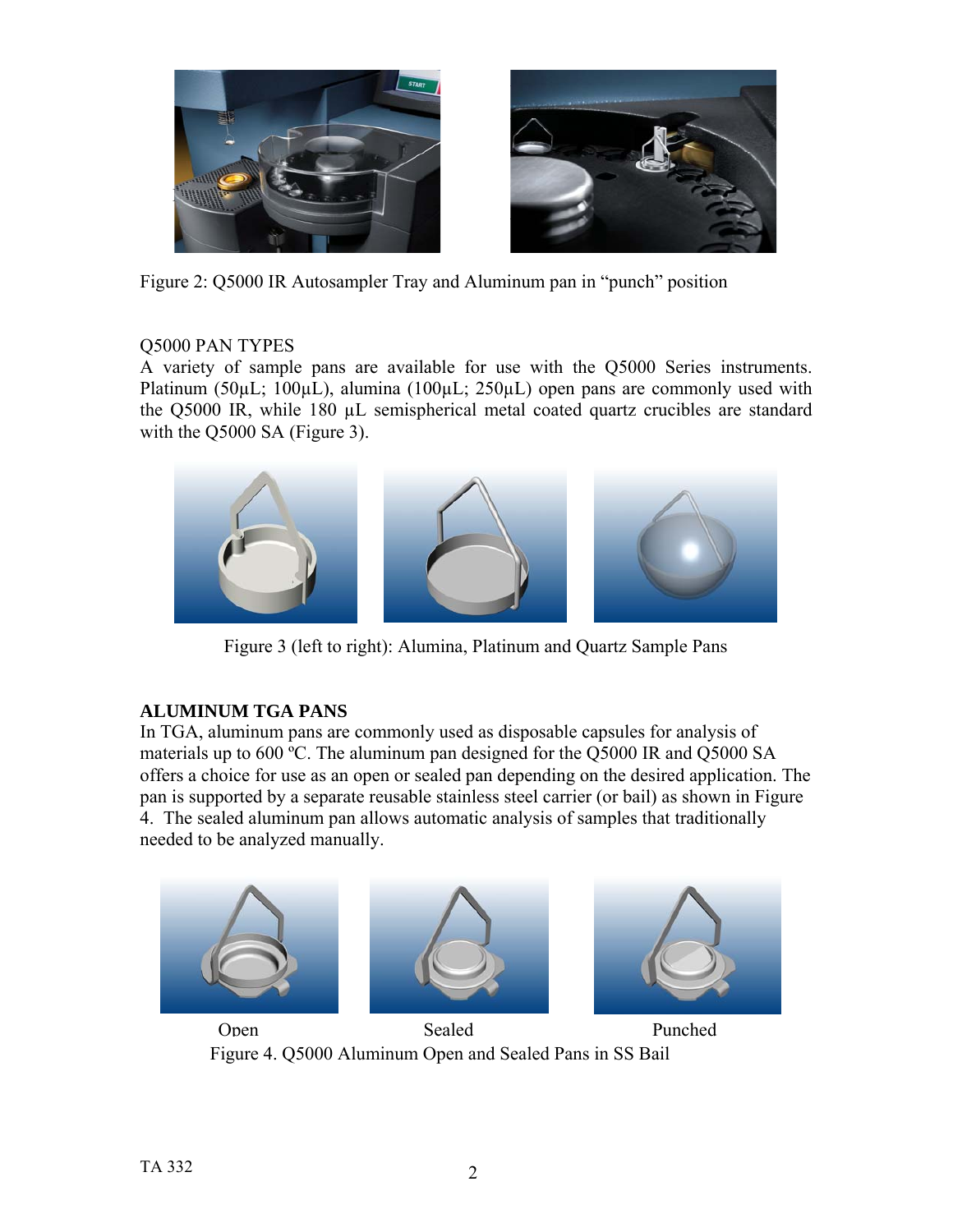

Figure 2: Q5000 IR Autosampler Tray and Aluminum pan in "punch" position

# Q5000 PAN TYPES

A variety of sample pans are available for use with the Q5000 Series instruments. Platinum (50µL; 100µL), alumina (100µL; 250µL) open pans are commonly used with the Q5000 IR, while 180 µL semispherical metal coated quartz crucibles are standard with the O5000 SA (Figure 3).



Figure 3 (left to right): Alumina, Platinum and Quartz Sample Pans

# **ALUMINUM TGA PANS**

In TGA, aluminum pans are commonly used as disposable capsules for analysis of materials up to 600 ºC. The aluminum pan designed for the Q5000 IR and Q5000 SA offers a choice for use as an open or sealed pan depending on the desired application. The pan is supported by a separate reusable stainless steel carrier (or bail) as shown in Figure 4. The sealed aluminum pan allows automatic analysis of samples that traditionally needed to be analyzed manually.



 Figure 4. Q5000 Aluminum Open and Sealed Pans in SS Bail Open Sealed Punched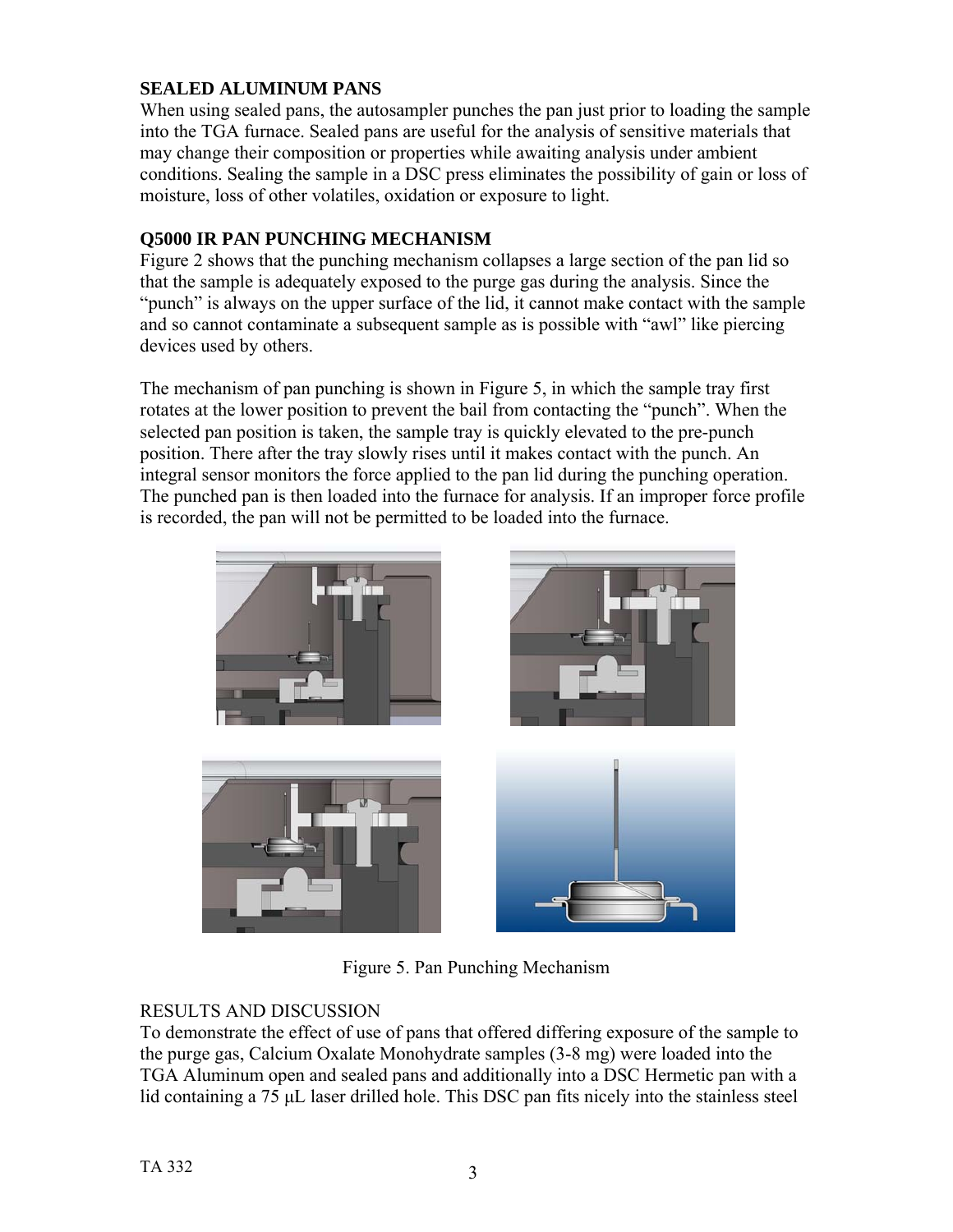# **SEALED ALUMINUM PANS**

When using sealed pans, the autosampler punches the pan just prior to loading the sample into the TGA furnace. Sealed pans are useful for the analysis of sensitive materials that may change their composition or properties while awaiting analysis under ambient conditions. Sealing the sample in a DSC press eliminates the possibility of gain or loss of moisture, loss of other volatiles, oxidation or exposure to light.

#### **Q5000 IR PAN PUNCHING MECHANISM**

Figure 2 shows that the punching mechanism collapses a large section of the pan lid so that the sample is adequately exposed to the purge gas during the analysis. Since the "punch" is always on the upper surface of the lid, it cannot make contact with the sample and so cannot contaminate a subsequent sample as is possible with "awl" like piercing devices used by others.

The mechanism of pan punching is shown in Figure 5, in which the sample tray first rotates at the lower position to prevent the bail from contacting the "punch". When the selected pan position is taken, the sample tray is quickly elevated to the pre-punch position. There after the tray slowly rises until it makes contact with the punch. An integral sensor monitors the force applied to the pan lid during the punching operation. The punched pan is then loaded into the furnace for analysis. If an improper force profile is recorded, the pan will not be permitted to be loaded into the furnace.



Figure 5. Pan Punching Mechanism

### RESULTS AND DISCUSSION

To demonstrate the effect of use of pans that offered differing exposure of the sample to the purge gas, Calcium Oxalate Monohydrate samples (3-8 mg) were loaded into the TGA Aluminum open and sealed pans and additionally into a DSC Hermetic pan with a lid containing a 75 μL laser drilled hole. This DSC pan fits nicely into the stainless steel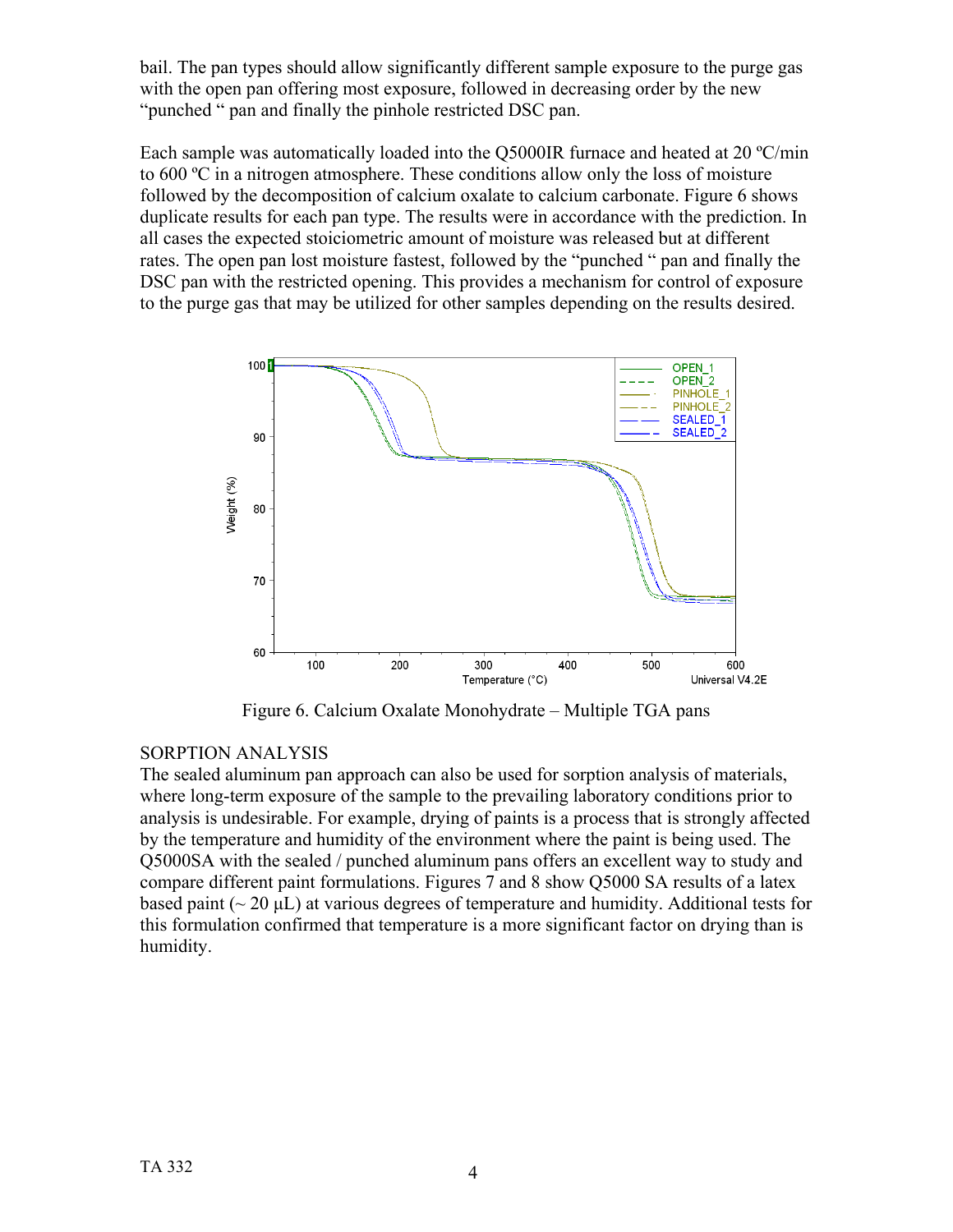bail. The pan types should allow significantly different sample exposure to the purge gas with the open pan offering most exposure, followed in decreasing order by the new "punched " pan and finally the pinhole restricted DSC pan.

Each sample was automatically loaded into the Q5000IR furnace and heated at 20 ºC/min to 600 ºC in a nitrogen atmosphere. These conditions allow only the loss of moisture followed by the decomposition of calcium oxalate to calcium carbonate. Figure 6 shows duplicate results for each pan type. The results were in accordance with the prediction. In all cases the expected stoiciometric amount of moisture was released but at different rates. The open pan lost moisture fastest, followed by the "punched " pan and finally the DSC pan with the restricted opening. This provides a mechanism for control of exposure to the purge gas that may be utilized for other samples depending on the results desired.



Figure 6. Calcium Oxalate Monohydrate – Multiple TGA pans

### SORPTION ANALYSIS

The sealed aluminum pan approach can also be used for sorption analysis of materials, where long-term exposure of the sample to the prevailing laboratory conditions prior to analysis is undesirable. For example, drying of paints is a process that is strongly affected by the temperature and humidity of the environment where the paint is being used. The Q5000SA with the sealed / punched aluminum pans offers an excellent way to study and compare different paint formulations. Figures 7 and 8 show Q5000 SA results of a latex based paint ( $\sim 20 \mu L$ ) at various degrees of temperature and humidity. Additional tests for this formulation confirmed that temperature is a more significant factor on drying than is humidity.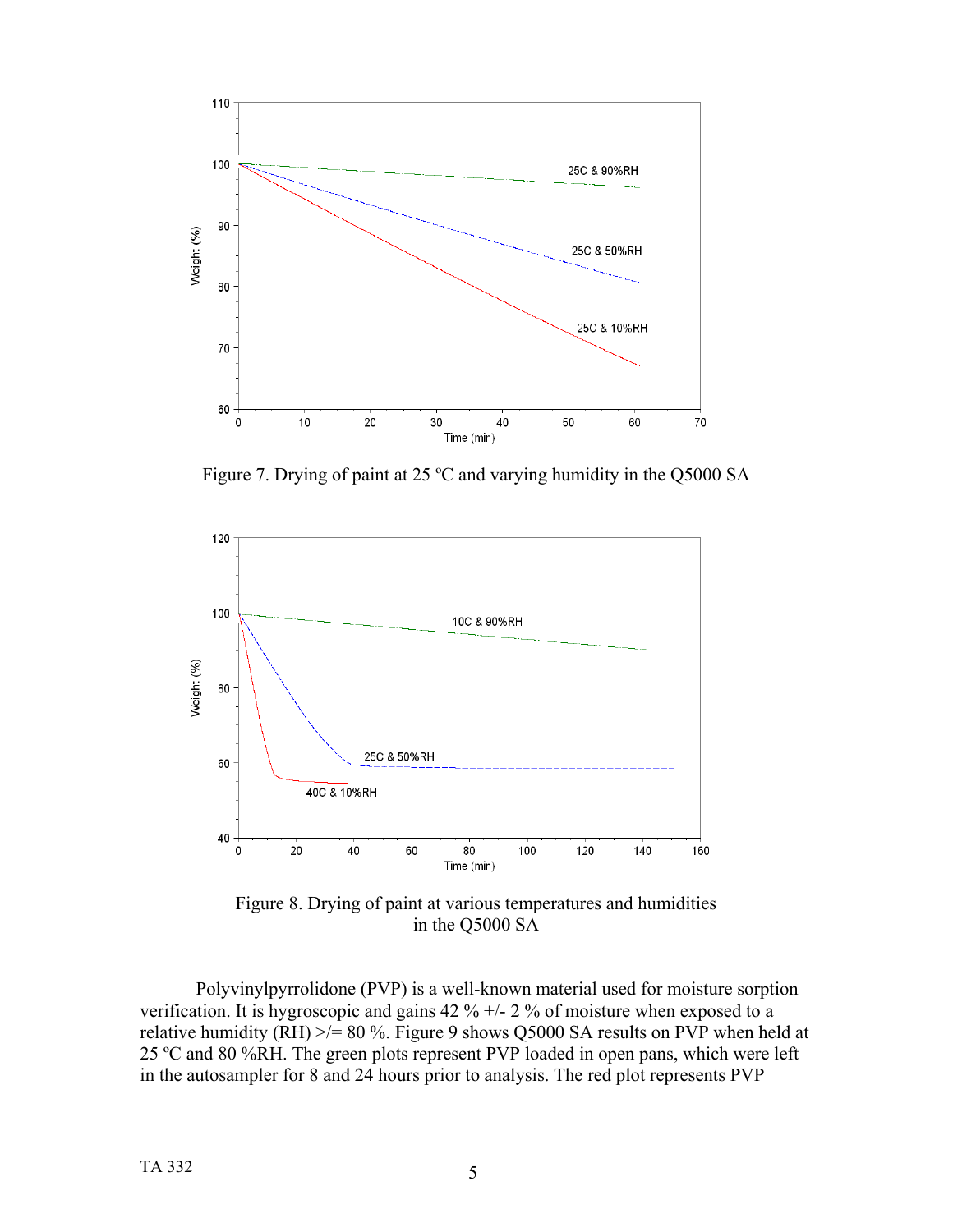

Figure 7. Drying of paint at 25 ºC and varying humidity in the Q5000 SA



Figure 8. Drying of paint at various temperatures and humidities in the Q5000 SA

Polyvinylpyrrolidone (PVP) is a well-known material used for moisture sorption verification. It is hygroscopic and gains  $42\% +1.2\%$  of moisture when exposed to a relative humidity (RH)  $\ge$  = 80 %. Figure 9 shows Q5000 SA results on PVP when held at 25 ºC and 80 %RH. The green plots represent PVP loaded in open pans, which were left in the autosampler for 8 and 24 hours prior to analysis. The red plot represents PVP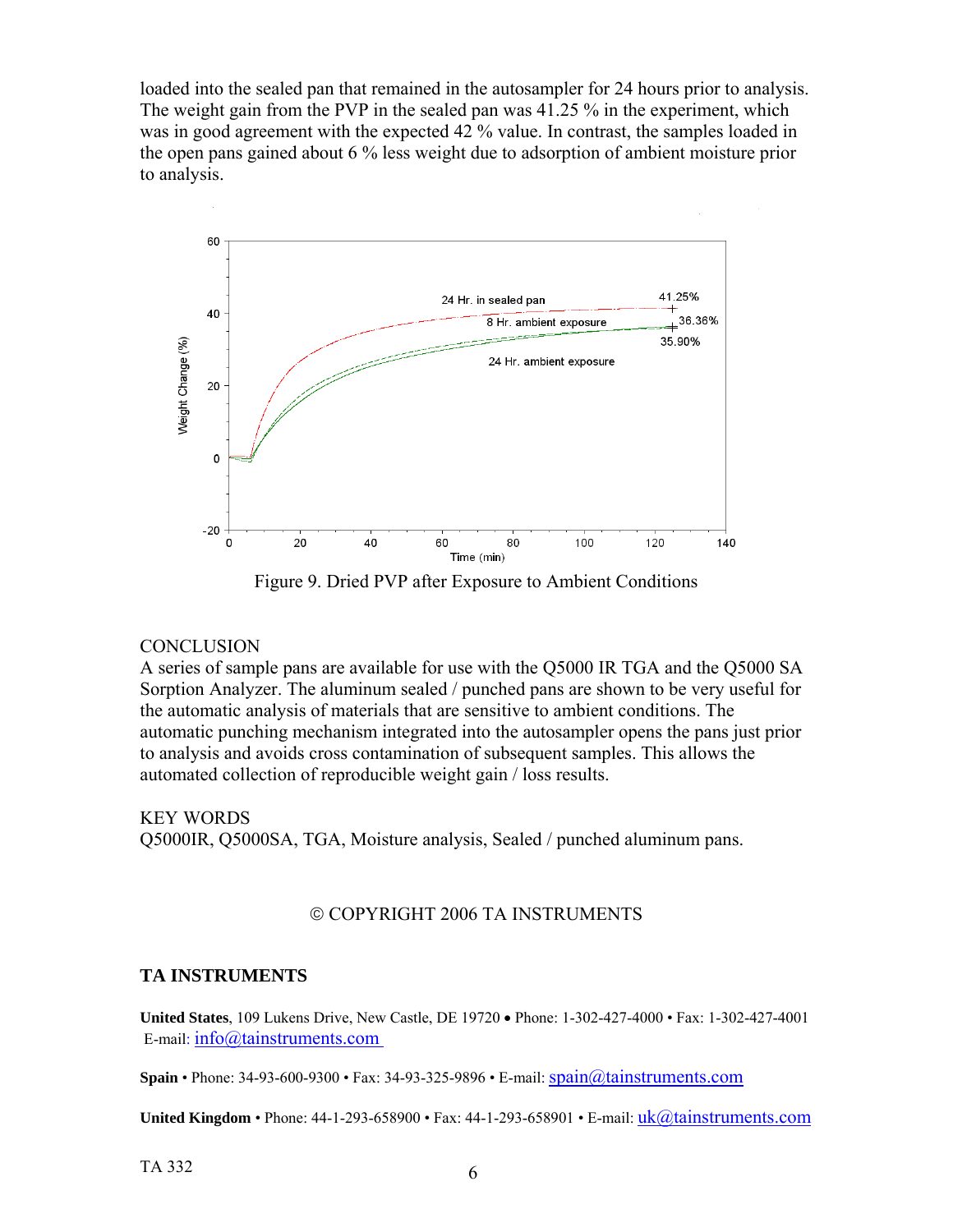loaded into the sealed pan that remained in the autosampler for 24 hours prior to analysis. The weight gain from the PVP in the sealed pan was 41.25 % in the experiment, which was in good agreement with the expected 42 % value. In contrast, the samples loaded in the open pans gained about 6 % less weight due to adsorption of ambient moisture prior to analysis.



Figure 9. Dried PVP after Exposure to Ambient Conditions

#### **CONCLUSION**

A series of sample pans are available for use with the Q5000 IR TGA and the Q5000 SA Sorption Analyzer. The aluminum sealed / punched pans are shown to be very useful for the automatic analysis of materials that are sensitive to ambient conditions. The automatic punching mechanism integrated into the autosampler opens the pans just prior to analysis and avoids cross contamination of subsequent samples. This allows the automated collection of reproducible weight gain / loss results.

KEY WORDS Q5000IR, Q5000SA, TGA, Moisture analysis, Sealed / punched aluminum pans.

#### © COPYRIGHT 2006 TA INSTRUMENTS

#### **TA INSTRUMENTS**

**United States**, 109 Lukens Drive, New Castle, DE 19720 • Phone: 1-302-427-4000 • Fax: 1-302-427-4001 E-mail: info@tainstruments.com

**Spain** • Phone: 34-93-600-9300 • Fax: 34-93-325-9896 • E-mail: spain@tainstruments.com

**United Kingdom •** Phone: 44-1-293-658900 • Fax: 44-1-293-658901 • E-mail: *uk@tainstruments.com* 

 $TA$  332 6